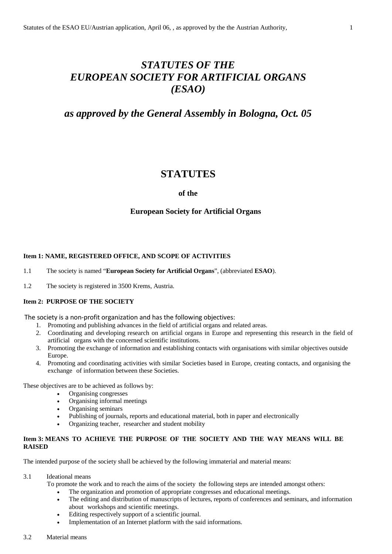# *STATUTES OF THE EUROPEAN SOCIETY FOR ARTIFICIAL ORGANS (ESAO)*

# *as approved by the General Assembly in Bologna, Oct. 05*

# **STATUTES**

## **of the**

# **European Society for Artificial Organs**

## **Item 1: NAME, REGISTERED OFFICE, AND SCOPE OF ACTIVITIES**

- 1.1 The society is named "**European Society for Artificial Organs**", (abbreviated **ESAO**).
- 1.2 The society is registered in 3500 Krems, Austria.

## **Item 2: PURPOSE OF THE SOCIETY**

The society is a non-profit organization and has the following objectives:

- 1. Promoting and publishing advances in the field of artificial organs and related areas.
- 2. Coordinating and developing research on artificial organs in Europe and representing this research in the field of artificial organs with the concerned scientific institutions.
- 3. Promoting the exchange of information and establishing contacts with organisations with similar objectives outside Europe.
- 4. Promoting and coordinating activities with similar Societies based in Europe, creating contacts, and organising the exchange of information between these Societies.

These objectives are to be achieved as follows by:

- Organising congresses
- Organising informal meetings
- Organising seminars
- Publishing of journals, reports and educational material, both in paper and electronically
- Organizing teacher, researcher and student mobility

# **Item 3: MEANS TO ACHIEVE THE PURPOSE OF THE SOCIETY AND THE WAY MEANS WILL BE RAISED**

The intended purpose of the society shall be achieved by the following immaterial and material means:

#### 3.1 Ideational means

To promote the work and to reach the aims of the society the following steps are intended amongst others:

- The organization and promotion of appropriate congresses and educational meetings.
- The editing and distribution of manuscripts of lectures, reports of conferences and seminars, and information about workshops and scientific meetings.
- Editing respectively support of a scientific journal.
- Implementation of an Internet platform with the said informations.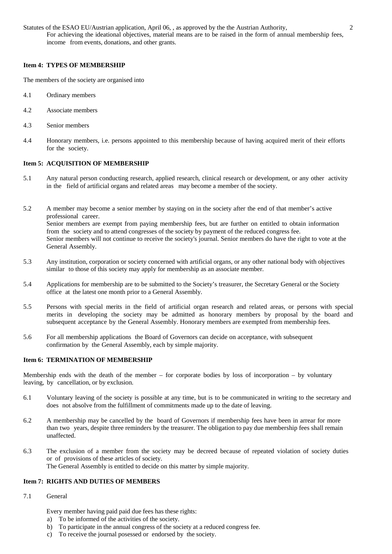Statutes of the ESAO EU/Austrian application, April 06, , as approved by the the Austrian Authority, 2 For achieving the ideational objectives, material means are to be raised in the form of annual membership fees, income from events, donations, and other grants.

#### **Item 4: TYPES OF MEMBERSHIP**

The members of the society are organised into

- 4.1 Ordinary members
- 4.2 Associate members
- 4.3 Senior members
- 4.4 Honorary members, i.e. persons appointed to this membership because of having acquired merit of their efforts for the society.

# **Item 5: ACQUISITION OF MEMBERSHIP**

5.1 Any natural person conducting research, applied research, clinical research or development, or any other activity in the field of artificial organs and related areas may become a member of the society.

5.2 A member may become a senior member by staying on in the society after the end of that member's active professional career. Senior members are exempt from paying membership fees, but are further on entitled to obtain information from the society and to attend congresses of the society by payment of the reduced congress fee. Senior members will not continue to receive the society's journal. Senior members do have the right to vote at the General Assembly.

- 5.3 Any institution, corporation or society concerned with artificial organs, or any other national body with objectives similar to those of this society may apply for membership as an associate member.
- 5.4 Applications for membership are to be submitted to the Society's treasurer, the Secretary General or the Society office at the latest one month prior to a General Assembly.
- 5.5 Persons with special merits in the field of artificial organ research and related areas, or persons with special merits in developing the society may be admitted as honorary members by proposal by the board and subsequent acceptance by the General Assembly. Honorary members are exempted from membership fees.
- 5.6 For all membership applications the Board of Governors can decide on acceptance, with subsequent confirmation by the General Assembly, each by simple majority.

#### **Item 6: TERMINATION OF MEMBERSHIP**

Membership ends with the death of the member – for corporate bodies by loss of incorporation – by voluntary leaving, by cancellation, or by exclusion.

- 6.1 Voluntary leaving of the society is possible at any time, but is to be communicated in writing to the secretary and does not absolve from the fulfillment of commitments made up to the date of leaving.
- 6.2 A membership may be cancelled by the board of Governors if membership fees have been in arrear for more than two years, despite three reminders by the treasurer. The obligation to pay due membership fees shall remain unaffected.
- 6.3 The exclusion of a member from the society may be decreed because of repeated violation of society duties or of provisions of these articles of society. The General Assembly is entitled to decide on this matter by simple majority.

## **Item 7: RIGHTS AND DUTIES OF MEMBERS**

7.1 General

Every member having paid paid due fees has these rights:

- a) To be informed of the activities of the society.
- b) To participate in the annual congress of the society at a reduced congress fee.
- c) To receive the journal posessed or endorsed by the society.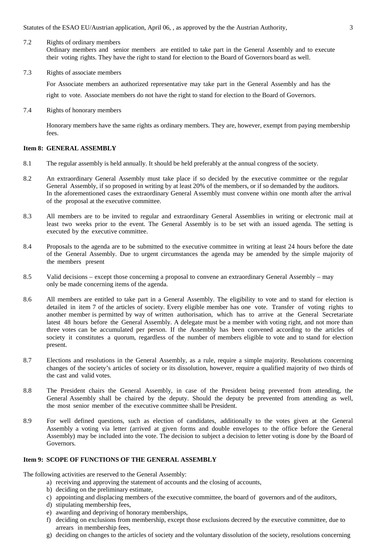Statutes of the ESAO EU/Austrian application, April 06, , as approved by the the Austrian Authority, 3

7.2 Rights of ordinary members

Ordinary members and senior members are entitled to take part in the General Assembly and to execute their voting rights. They have the right to stand for election to the Board of Governors board as well.

7.3 Rights of associate members

For Associate members an authorized representative may take part in the General Assembly and has the

right to vote. Associate members do not have the right to stand for election to the Board of Governors.

7.4 Rights of honorary members

Honorary members have the same rights as ordinary members. They are, however, exempt from paying membership fees.

#### **Item 8: GENERAL ASSEMBLY**

- 8.1 The regular assembly is held annually. It should be held preferably at the annual congress of the society.
- 8.2 An extraordinary General Assembly must take place if so decided by the executive committee or the regular General Assembly, if so proposed in writing by at least 20% of the members, or if so demanded by the auditors. In the aforementioned cases the extraordinary General Assembly must convene within one month after the arrival of the proposal at the executive committee.
- 8.3 All members are to be invited to regular and extraordinary General Assemblies in writing or electronic mail at least two weeks prior to the event. The General Assembly is to be set with an issued agenda. The setting is executed by the executive committee.
- 8.4 Proposals to the agenda are to be submitted to the executive committee in writing at least 24 hours before the date of the General Assembly. Due to urgent circumstances the agenda may be amended by the simple majority of the members present
- 8.5 Valid decisions except those concerning a proposal to convene an extraordinary General Assembly may only be made concerning items of the agenda.
- 8.6 All members are entitled to take part in a General Assembly. The eligibility to vote and to stand for election is detailed in item 7 of the articles of society. Every eligible member has one vote. Transfer of voting rights to another member is permitted by way of written authorisation, which has to arrive at the General Secretariate latest 48 hours before the General Assembly. A delegate must be a member with voting right, and not more than three votes can be accumulated per person. If the Assembly has been convened according to the articles of society it constitutes a quorum, regardless of the number of members eligible to vote and to stand for election present.
- 8.7 Elections and resolutions in the General Assembly, as a rule, require a simple majority. Resolutions concerning changes of the society's articles of society or its dissolution, however, require a qualified majority of two thirds of the cast and valid votes.
- 8.8 The President chairs the General Assembly, in case of the President being prevented from attending, the General Assembly shall be chaired by the deputy. Should the deputy be prevented from attending as well, the most senior member of the executive committee shall be President.
- 8.9 For well defined questions, such as election of candidates, additionally to the votes given at the General Assembly a voting via letter (arrived at given forms and double envelopes to the office before the General Assembly) may be included into the vote. The decision to subject a decision to letter voting is done by the Board of Governors.

#### **Item 9: SCOPE OF FUNCTIONS OF THE GENERAL ASSEMBLY**

The following activities are reserved to the General Assembly:

- a) receiving and approving the statement of accounts and the closing of accounts,
- b) deciding on the preliminary estimate,
- c) appointing and displacing members of the executive committee, the board of governors and of the auditors,
- d) stipulating membership fees,
- e) awarding and depriving of honorary memberships,
- f) deciding on exclusions from membership, except those exclusions decreed by the executive committee, due to arrears in membership fees,
- g) deciding on changes to the articles of society and the voluntary dissolution of the society, resolutions concerning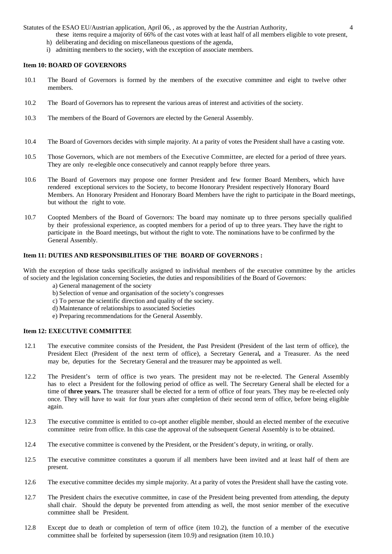Statutes of the ESAO EU/Austrian application, April 06, , as approved by the the Austrian Authority, 4

these items require a majority of 66% of the cast votes with at least half of all members eligible to vote present,

- h) deliberating and deciding on miscellaneous questions of the agenda,
- i) admitting members to the society, with the exception of associate members.

#### **Item 10: BOARD OF GOVERNORS**

- 10.1 The Board of Governors is formed by the members of the executive committee and eight to twelve other members.
- 10.2 The Board of Governors has to represent the various areas of interest and activities of the society.
- 10.3 The members of the Board of Governors are elected by the General Assembly.
- 10.4 The Board of Governors decides with simple majority. At a parity of votes the President shall have a casting vote.
- 10.5 Those Governors, which are not members of the Executive Committee, are elected for a period of three years. They are only re-elegible once consecutively and cannot reapply before three years.
- 10.6 The Board of Governors may propose one former President and few former Board Members, which have rendered exceptional services to the Society, to become Honorary President respectively Honorary Board Members. An Honorary President and Honorary Board Members have the right to participate in the Board meetings, but without the right to vote.
- 10.7 Coopted Members of the Board of Governors: The board may nominate up to three persons specially qualified by their professional experience, as coopted members for a period of up to three years. They have the right to participate in the Board meetings, but without the right to vote. The nominations have to be confirmed by the General Assembly.

# **Item 11: DUTIES AND RESPONSIBILITIES OF THE BOARD OF GOVERNORS :**

With the exception of those tasks specifically assigned to individual members of the executive committee by the articles of society and the legislation concerning Societies, the duties and responsibilities of the Board of Governors:

- a) General management of the society
- b) Selection of venue and organisation of the society's congresses
- c) To persue the scientific direction and quality of the society.
- d) Maintenance of relationships to associated Societies
- e) Preparing recommendations for the General Assembly.

#### **Item 12: EXECUTIVE COMMITTEE**

- 12.1 The executive commitee consists of the President, the Past President (President of the last term of office), the President Elect (President of the next term of office), a Secretary General*,* and a Treasurer. As the need may be, deputies for the Secretary General and the treasurer may be appointed as well.
- 12.2 The President's term of office is two years. The president may not be re-elected. The General Assembly has to elect a President for the following period of office as well. The Secretary General shall be elected for a time of **three years.** The treasurer shall be elected for a term of office of four years. They may be re-elected only once. They will have to wait for four years after completion of their second term of office, before being eligible again.
- 12.3 The executive committee is entitled to co-opt another eligible member, should an elected member of the executive committee retire from office. In this case the approval of the subsequent General Assembly is to be obtained.
- 12.4 The executive committee is convened by the President, or the President's deputy, in writing, or orally.
- 12.5 The executive committee constitutes a quorum if all members have been invited and at least half of them are present.
- 12.6 The executive committee decides my simple majority. At a parity of votes the President shall have the casting vote.
- 12.7 The President chairs the executive committee, in case of the President being prevented from attending, the deputy shall chair. Should the deputy be prevented from attending as well, the most senior member of the executive committee shall be President.
- 12.8 Except due to death or completion of term of office (item 10.2), the function of a member of the executive committee shall be forfeited by supersession (item 10.9) and resignation (item 10.10.)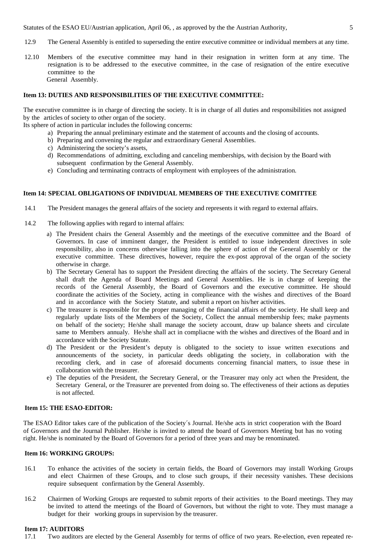Statutes of the ESAO EU/Austrian application, April 06, , as approved by the the Austrian Authority, 5

- 12.9 The General Assembly is entitled to superseding the entire executive committee or individual members at any time.
- 12.10 Members of the executive committee may hand in their resignation in written form at any time. The resignation is to be addressed to the executive committee, in the case of resignation of the entire executive committee to the General Assembly.

## **Item 13: DUTIES AND RESPONSIBILITIES OF THE EXECUTIVE COMMITTEE:**

The executive committee is in charge of directing the society. It is in charge of all duties and responsibilities not assigned by the articles of society to other organ of the society.

- Its sphere of action in particular includes the following concerns:
	- a) Preparing the annual preliminary estimate and the statement of accounts and the closing of accounts.
	- b) Preparing and convening the regular and extraordinary General Assemblies.
	- c) Administering the society's assets,
	- d) Recommendations of admitting, excluding and canceling memberships, with decision by the Board with subsequent confirmation by the General Assembly.
	- e) Concluding and terminating contracts of employment with employees of the administration.

# **Item 14: SPECIAL OBLIGATIONS OF INDIVIDUAL MEMBERS OF THE EXECUTIVE COMITTEE**

- 14.1 The President manages the general affairs of the society and represents it with regard to external affairs.
- 14.2 The following applies with regard to internal affairs:
	- a) The President chairs the General Assembly and the meetings of the executive committee and the Board of Governors. In case of imminent danger, the President is entitled to issue independent directives in sole responsibility, also in concerns otherwise falling into the sphere of action of the General Assembly or the executive committee. These directives, however, require the ex-post approval of the organ of the society otherwise in charge.
	- b) The Secretary General has to support the President directing the affairs of the society. The Secretary General shall draft the Agenda of Board Meetings and General Assemblies. He is in charge of keeping the records of the General Assembly, the Board of Governors and the executive committee. He should coordinate the activities of the Society, acting in complieance with the wishes and directives of the Board and in accordance with the Society Statute, and submit a report on his/her activities.
	- c) The treasurer is responsible for the proper managing of the financial affairs of the society. He shall keep and regularly update lists of the Members of the Society, Collect the annual membership fees; make payments on behalf of the society; He/she shall manage the society account, draw up balance sheets and circulate same to Members annualy. He/she shall act in compliacne with the wishes and directives of the Board and in accordance with the Society Statute.
	- d) The President or the President's deputy is obligated to the society to issue written executions and announcements of the society, in particular deeds obligating the society, in collaboration with the recording clerk, and in case of aforesaid documents concerning financial matters, to issue these in collaboration with the treasurer.
	- e) The deputies of the President, the Secretary General, or the Treasurer may only act when the President, the Secretary General, or the Treasurer are prevented from doing so. The effectiveness of their actions as deputies is not affected.

#### **Item 15: THE ESAO-EDITOR:**

The ESAO Editor takes care of the publication of the Society´s Journal. He/she acts in strict cooperation with the Board of Governors and the Journal Publisher. He/she is invited to attend the board of Governors Meeting but has no voting right. He/she is nominated by the Board of Governors for a period of three years and may be renominated.

## **Item 16: WORKING GROUPS:**

- 16.1 To enhance the activities of the society in certain fields, the Board of Governors may install Working Groups and elect Chairmen of these Groups, and to close such groups, if their necessity vanishes. These decisions require subsequent confirmation by the General Assembly.
- 16.2 Chairmen of Working Groups are requested to submit reports of their activities to the Board meetings. They may be invited to attend the meetings of the Board of Governors, but without the right to vote. They must manage a budget for their working groups in supervision by the treasurer.

# **Item 17: AUDITORS**<br>17.1 Two auditors

Two auditors are elected by the General Assembly for terms of office of two years. Re-election, even repeated re-